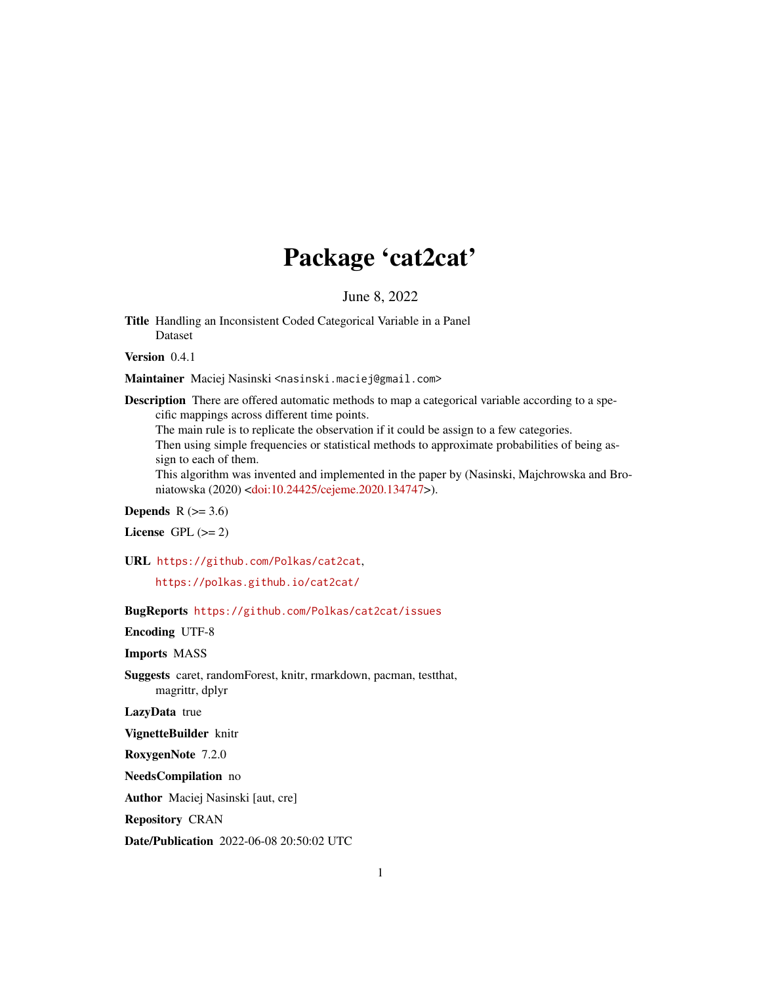## Package 'cat2cat'

June 8, 2022

Title Handling an Inconsistent Coded Categorical Variable in a Panel Dataset

Version 0.4.1

Maintainer Maciej Nasinski <nasinski.maciej@gmail.com>

Description There are offered automatic methods to map a categorical variable according to a specific mappings across different time points.

The main rule is to replicate the observation if it could be assign to a few categories. Then using simple frequencies or statistical methods to approximate probabilities of being assign to each of them.

This algorithm was invented and implemented in the paper by (Nasinski, Majchrowska and Broniatowska (2020) [<doi:10.24425/cejeme.2020.134747>](https://doi.org/10.24425/cejeme.2020.134747)).

**Depends**  $R$  ( $>= 3.6$ )

License GPL  $(>= 2)$ 

URL <https://github.com/Polkas/cat2cat>,

<https://polkas.github.io/cat2cat/>

BugReports <https://github.com/Polkas/cat2cat/issues>

Encoding UTF-8

Imports MASS

Suggests caret, randomForest, knitr, rmarkdown, pacman, testthat, magrittr, dplyr

LazyData true

VignetteBuilder knitr

RoxygenNote 7.2.0

NeedsCompilation no

Author Maciej Nasinski [aut, cre]

Repository CRAN

Date/Publication 2022-06-08 20:50:02 UTC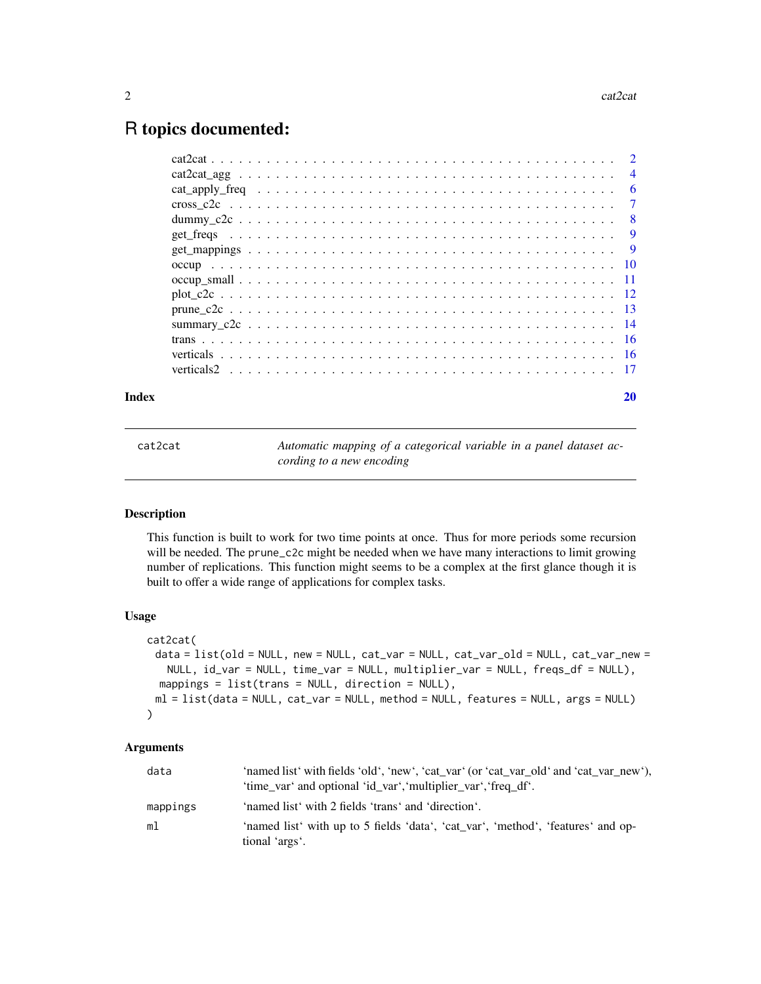### <span id="page-1-0"></span>R topics documented:

| Index | 20 |
|-------|----|

cat2cat *Automatic mapping of a categorical variable in a panel dataset according to a new encoding*

#### Description

This function is built to work for two time points at once. Thus for more periods some recursion will be needed. The prune\_c2c might be needed when we have many interactions to limit growing number of replications. This function might seems to be a complex at the first glance though it is built to offer a wide range of applications for complex tasks.

#### Usage

```
cat2cat(
 data = list(old = NULL, new = NULL, cat_var = NULL, cat_var_old = NULL, cat_var_new =
   NULL, id_var = NULL, time_var = NULL, multiplier_var = NULL, freqs_df = NULL),
  mappings = list(trans = NULL, direction = NULL),
 ml = list(data = NULL, cat_var = NULL, method = NULL, features = NULL, args = NULL)
)
```
#### Arguments

| data     | 'named list' with fields 'old', 'new', 'cat_var' (or 'cat_var_old' and 'cat_var_new'),<br>'time_var' and optional 'id_var', 'multiplier_var', 'freq_df'. |
|----------|----------------------------------------------------------------------------------------------------------------------------------------------------------|
| mappings | 'named list' with 2 fields 'trans' and 'direction'.                                                                                                      |
| ml       | 'named list' with up to 5 fields 'data', 'cat_var', 'method', 'features' and op-<br>tional 'args'.                                                       |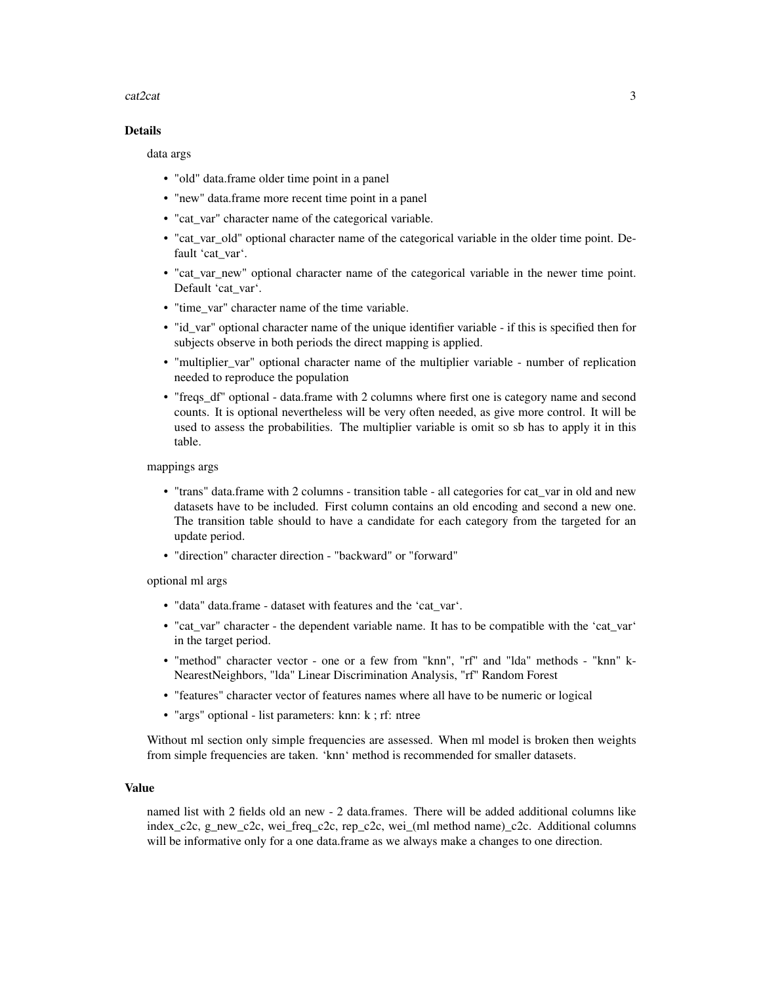#### $\alpha$ cat2cat  $\alpha$  3

#### Details

data args

- "old" data.frame older time point in a panel
- "new" data.frame more recent time point in a panel
- "cat\_var" character name of the categorical variable.
- "cat\_var\_old" optional character name of the categorical variable in the older time point. Default 'cat\_var'.
- "cat\_var\_new" optional character name of the categorical variable in the newer time point. Default 'cat\_var'.
- "time\_var" character name of the time variable.
- "id\_var" optional character name of the unique identifier variable if this is specified then for subjects observe in both periods the direct mapping is applied.
- "multiplier\_var" optional character name of the multiplier variable number of replication needed to reproduce the population
- "freqs\_df" optional data.frame with 2 columns where first one is category name and second counts. It is optional nevertheless will be very often needed, as give more control. It will be used to assess the probabilities. The multiplier variable is omit so sb has to apply it in this table.

mappings args

- "trans" data.frame with 2 columns transition table all categories for cat var in old and new datasets have to be included. First column contains an old encoding and second a new one. The transition table should to have a candidate for each category from the targeted for an update period.
- "direction" character direction "backward" or "forward"

optional ml args

- "data" data.frame dataset with features and the 'cat\_var'.
- "cat\_var" character the dependent variable name. It has to be compatible with the 'cat\_var' in the target period.
- "method" character vector one or a few from "knn", "rf" and "lda" methods "knn" k-NearestNeighbors, "lda" Linear Discrimination Analysis, "rf" Random Forest
- "features" character vector of features names where all have to be numeric or logical
- "args" optional list parameters: knn: k; rf: ntree

Without ml section only simple frequencies are assessed. When ml model is broken then weights from simple frequencies are taken. 'knn' method is recommended for smaller datasets.

#### Value

named list with 2 fields old an new - 2 data.frames. There will be added additional columns like index\_c2c, g\_new\_c2c, wei\_freq\_c2c, rep\_c2c, wei\_(ml method name)\_c2c. Additional columns will be informative only for a one data.frame as we always make a changes to one direction.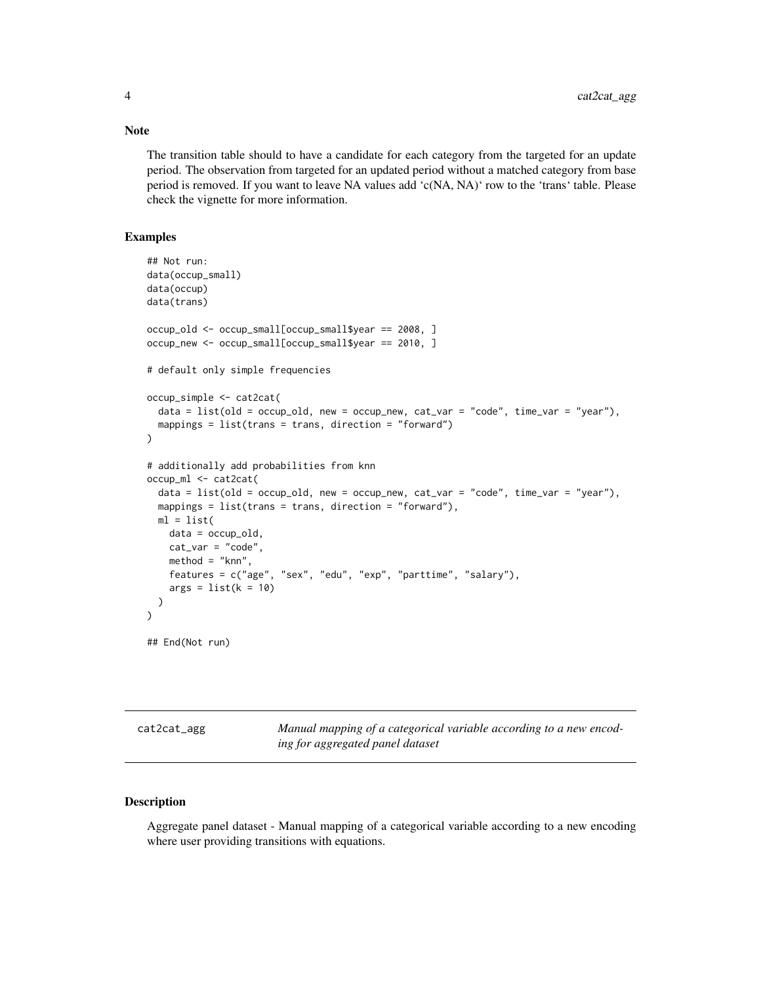The transition table should to have a candidate for each category from the targeted for an update period. The observation from targeted for an updated period without a matched category from base period is removed. If you want to leave NA values add 'c(NA, NA)' row to the 'trans' table. Please check the vignette for more information.

#### Examples

```
## Not run:
data(occup_small)
data(occup)
data(trans)
occup_old <- occup_small[occup_small$year == 2008, ]
occup_new <- occup_small[occup_small$year == 2010, ]
# default only simple frequencies
occup_simple <- cat2cat(
 data = list(old = occup_old, new = occup_new, cat_var = "code", time_var = "year"),
 mappings = list(trans = trans, direction = "forward")
\mathcal{L}# additionally add probabilities from knn
occup_ml <- cat2cat(
 data = list(old = occup\_old, new = occup\_new, cat\_var = "code", time\_var = "year"),mappings = list(trans = trans, direction = "forward"),
 ml = list(data = occup_old,
   cat\_var = "code",method = "knn",
   features = c("age", "sex", "edu", "exp", "parttime", "salary"),
    args = list(k = 10))
\mathcal{L}## End(Not run)
```
cat2cat\_agg *Manual mapping of a categorical variable according to a new encoding for aggregated panel dataset*

#### Description

Aggregate panel dataset - Manual mapping of a categorical variable according to a new encoding where user providing transitions with equations.

#### <span id="page-3-0"></span>Note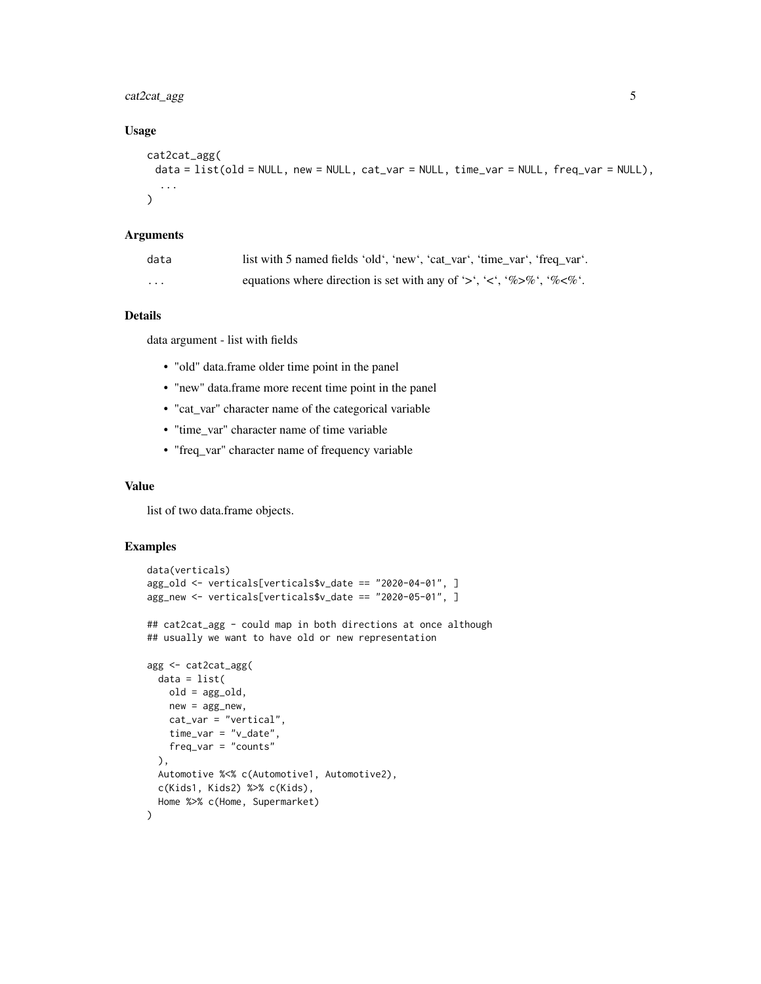#### cat2cat\_agg 5

#### Usage

```
cat2cat_agg(
 data = list(old = NULL, new = NULL, cat\_var = NULL, time\_var = NULL, freq\_var = NULL),...
)
```
#### Arguments

| data     | list with 5 named fields 'old', 'new', 'cat_var', 'time_var', 'freq_var'. |
|----------|---------------------------------------------------------------------------|
| $\cdots$ | equations where direction is set with any of '>', '<', '%>%', '%<%'.      |

#### Details

data argument - list with fields

- "old" data.frame older time point in the panel
- "new" data.frame more recent time point in the panel
- "cat\_var" character name of the categorical variable
- "time\_var" character name of time variable
- "freq\_var" character name of frequency variable

#### Value

list of two data.frame objects.

```
data(verticals)
agg_old <- verticals[verticals$v_date == "2020-04-01", ]
agg_new <- verticals[verticals$v_date == "2020-05-01", ]
## cat2cat_agg - could map in both directions at once although
## usually we want to have old or new representation
agg <- cat2cat_agg(
 data = list(old = agg_old,
   new = agg_new,
   cat_var = "vertical",
   time_var = "v_date",
   freq_var = "counts"
 ),
 Automotive %<% c(Automotive1, Automotive2),
 c(Kids1, Kids2) %>% c(Kids),
 Home %>% c(Home, Supermarket)
)
```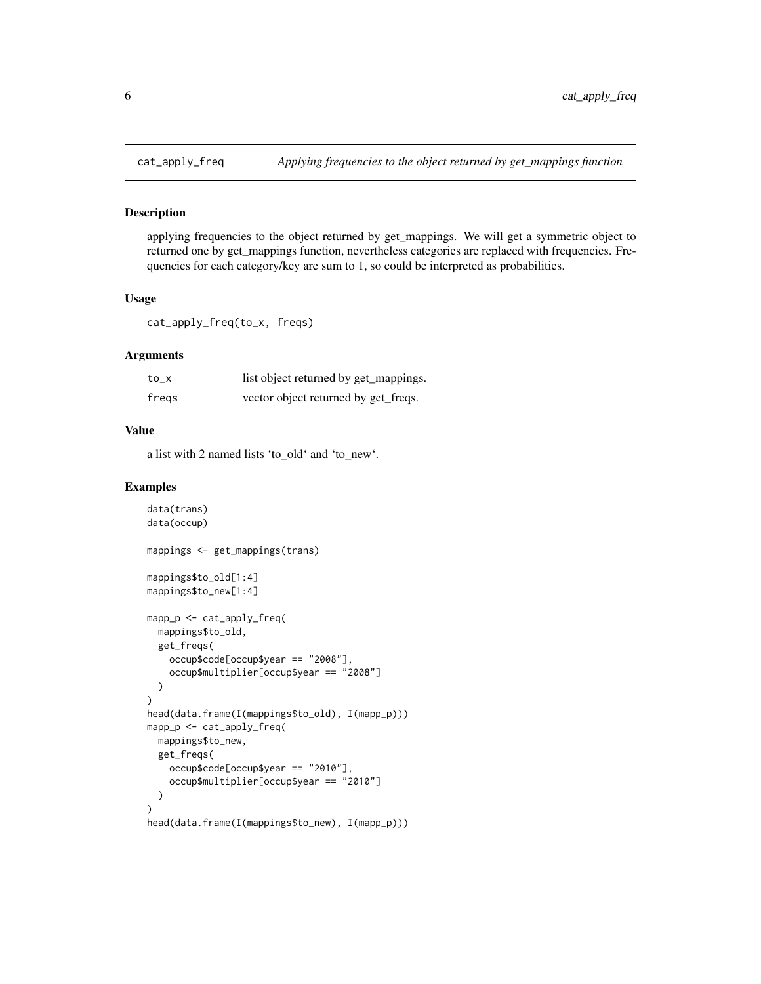<span id="page-5-0"></span>

#### Description

applying frequencies to the object returned by get\_mappings. We will get a symmetric object to returned one by get\_mappings function, nevertheless categories are replaced with frequencies. Frequencies for each category/key are sum to 1, so could be interpreted as probabilities.

#### Usage

cat\_apply\_freq(to\_x, freqs)

#### Arguments

| to_x  | list object returned by get_mappings. |
|-------|---------------------------------------|
| freqs | vector object returned by get_freqs.  |

#### Value

a list with 2 named lists 'to\_old' and 'to\_new'.

```
data(trans)
data(occup)
mappings <- get_mappings(trans)
mappings$to_old[1:4]
mappings$to_new[1:4]
mapp_p <- cat_apply_freq(
 mappings$to_old,
  get_freqs(
    occup$code[occup$year == "2008"],
    occup$multiplier[occup$year == "2008"]
  \lambda\mathcal{L}head(data.frame(I(mappings$to_old), I(mapp_p)))
mapp_p <- cat_apply_freq(
  mappings$to_new,
  get_freqs(
    occup$code[occup$year == "2010"],
    occup$multiplier[occup$year == "2010"]
  )
)
head(data.frame(I(mappings$to_new), I(mapp_p)))
```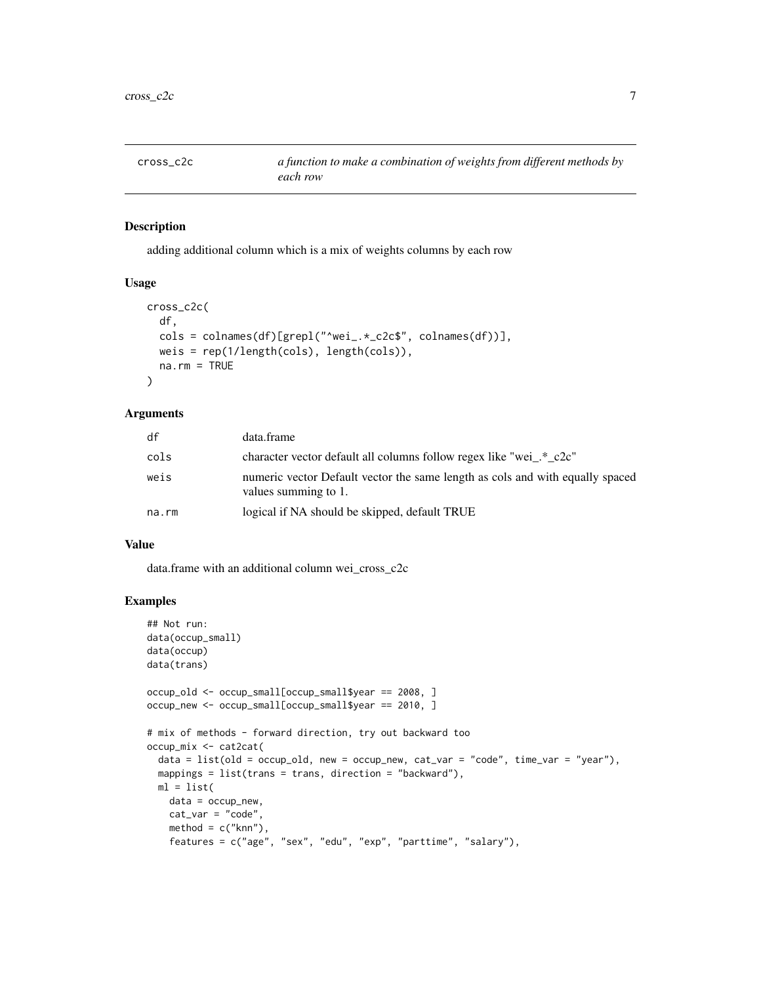<span id="page-6-0"></span>

#### Description

adding additional column which is a mix of weights columns by each row

#### Usage

```
cross_c2c(
  df,
  cols = colnames(df)[grepl("^wei_.*_c2c$", colnames(df))],
 weis = rep(1/length(cols), length(cols)),
 na.rm = TRUE
\lambda
```
#### Arguments

| df    | data.frame                                                                                            |
|-------|-------------------------------------------------------------------------------------------------------|
| cols  | character vector default all columns follow regex like "wei_.*_c2c"                                   |
| weis  | numeric vector Default vector the same length as cols and with equally spaced<br>values summing to 1. |
| na.rm | logical if NA should be skipped, default TRUE                                                         |

#### Value

data.frame with an additional column wei\_cross\_c2c

```
## Not run:
data(occup_small)
data(occup)
data(trans)
occup_old <- occup_small[occup_small$year == 2008, ]
occup_new <- occup_small[occup_small$year == 2010, ]
# mix of methods - forward direction, try out backward too
occup_mix <- cat2cat(
  data = list(old = occup_old, new = occup_new, cat_var = "code", time_var = "year"),
  mappings = list(trans = trans, direction = "backward"),
  ml = list(data = occup_new,
   cat\_var = "code",method = c("knn"),
   features = c("age", "sex", "edu", "exp", "parttime", "salary"),
```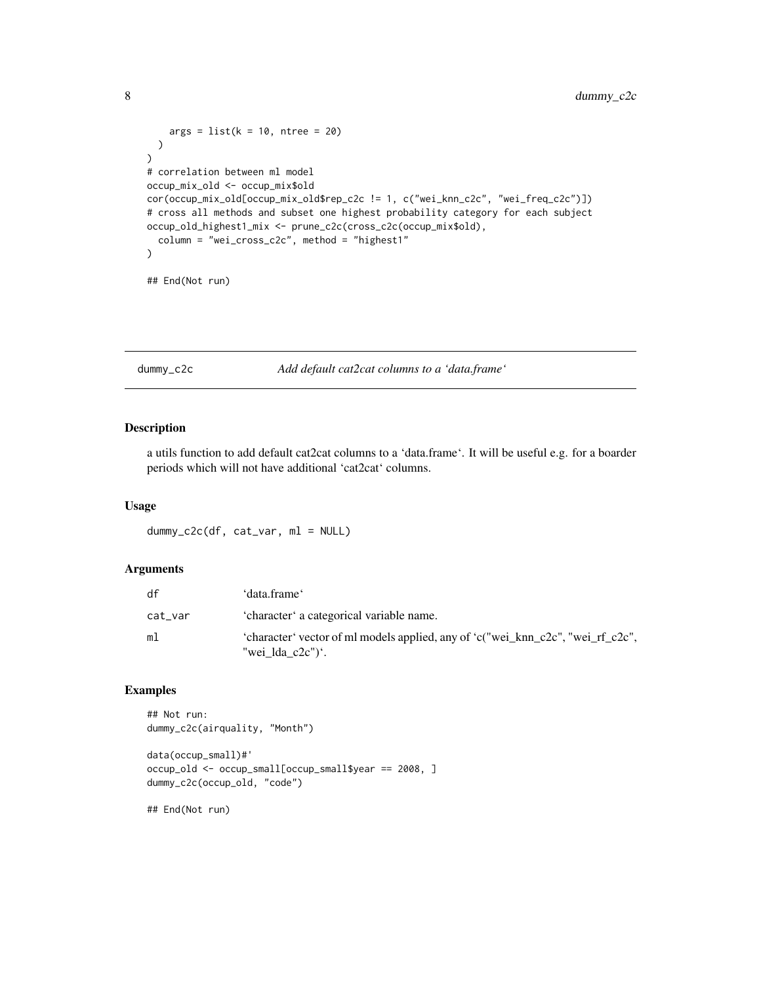```
args = list(k = 10, ntree = 20))
)
# correlation between ml model
occup_mix_old <- occup_mix$old
cor(occup_mix_old[occup_mix_old$rep_c2c != 1, c("wei_knn_c2c", "wei_freq_c2c")])
# cross all methods and subset one highest probability category for each subject
occup_old_highest1_mix <- prune_c2c(cross_c2c(occup_mix$old),
 column = "wei_cross_c2c", method = "highest1"
\mathcal{L}## End(Not run)
```
dummy\_c2c *Add default cat2cat columns to a 'data.frame'*

#### Description

a utils function to add default cat2cat columns to a 'data.frame'. It will be useful e.g. for a boarder periods which will not have additional 'cat2cat' columns.

#### Usage

dummy\_c2c(df, cat\_var, ml = NULL)

#### Arguments

| df      | 'data.frame'                                                                                        |
|---------|-----------------------------------------------------------------------------------------------------|
| cat_var | 'character' a categorical variable name.                                                            |
| ml      | 'character' vector of ml models applied, any of 'c("wei_knn_c2c", "wei_rf_c2c",<br>"wei lda c2c")'. |

#### Examples

## Not run: dummy\_c2c(airquality, "Month")

```
data(occup_small)#'
occup_old <- occup_small[occup_small$year == 2008, ]
dummy_c2c(occup_old, "code")
```
## End(Not run)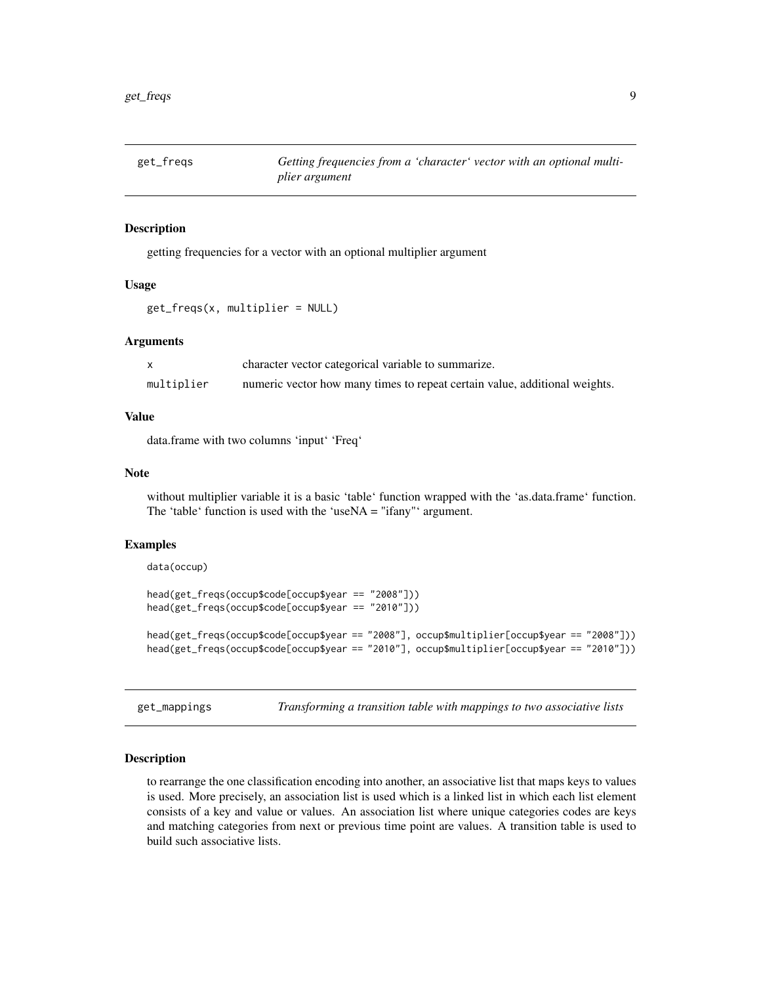<span id="page-8-0"></span>

#### Description

getting frequencies for a vector with an optional multiplier argument

#### Usage

get\_freqs(x, multiplier = NULL)

#### Arguments

|            | character vector categorical variable to summarize.                        |
|------------|----------------------------------------------------------------------------|
| multiplier | numeric vector how many times to repeat certain value, additional weights. |

#### Value

data.frame with two columns 'input' 'Freq'

#### Note

without multiplier variable it is a basic 'table' function wrapped with the 'as.data.frame' function. The 'table' function is used with the 'useNA = "ifany"' argument.

#### Examples

```
data(occup)
```

```
head(get_freqs(occup$code[occup$year == "2008"]))
head(get_freqs(occup$code[occup$year == "2010"]))
```
head(get\_freqs(occup\$code[occup\$year == "2008"], occup\$multiplier[occup\$year == "2008"])) head(get\_freqs(occup\$code[occup\$year == "2010"], occup\$multiplier[occup\$year == "2010"]))

get\_mappings *Transforming a transition table with mappings to two associative lists*

#### Description

to rearrange the one classification encoding into another, an associative list that maps keys to values is used. More precisely, an association list is used which is a linked list in which each list element consists of a key and value or values. An association list where unique categories codes are keys and matching categories from next or previous time point are values. A transition table is used to build such associative lists.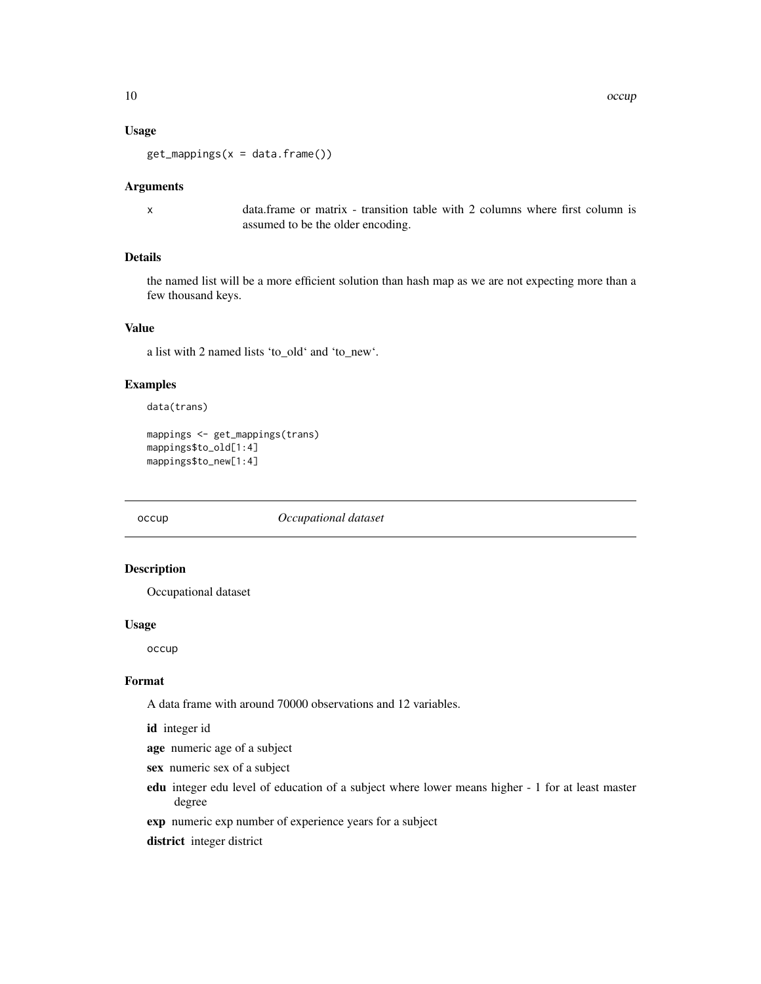#### <span id="page-9-0"></span>Usage

 $get_mappings(x = data.frame())$ 

#### Arguments

x data.frame or matrix - transition table with 2 columns where first column is assumed to be the older encoding.

#### Details

the named list will be a more efficient solution than hash map as we are not expecting more than a few thousand keys.

#### Value

a list with 2 named lists 'to\_old' and 'to\_new'.

#### Examples

data(trans)

```
mappings <- get_mappings(trans)
mappings$to_old[1:4]
mappings$to_new[1:4]
```
occup *Occupational dataset*

#### Description

Occupational dataset

#### Usage

occup

#### Format

A data frame with around 70000 observations and 12 variables.

id integer id

age numeric age of a subject

- sex numeric sex of a subject
- edu integer edu level of education of a subject where lower means higher 1 for at least master degree
- exp numeric exp number of experience years for a subject
- district integer district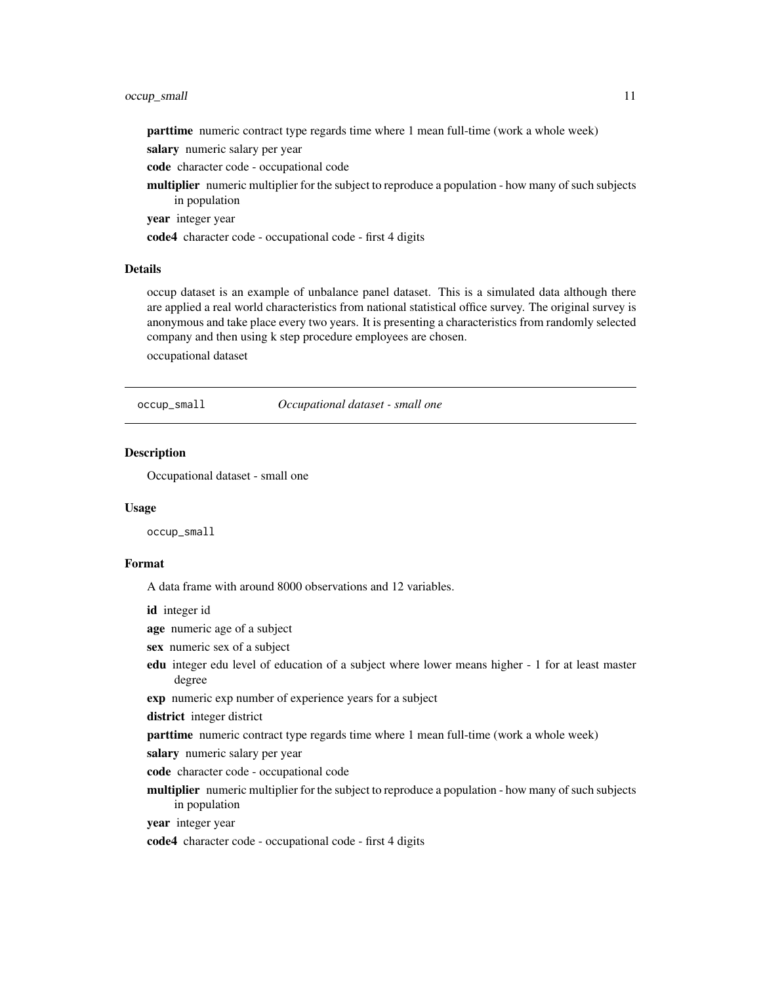#### <span id="page-10-0"></span>occup\_small 11

parttime numeric contract type regards time where 1 mean full-time (work a whole week)

salary numeric salary per year

code character code - occupational code

multiplier numeric multiplier for the subject to reproduce a population - how many of such subjects in population

year integer year

code4 character code - occupational code - first 4 digits

#### Details

occup dataset is an example of unbalance panel dataset. This is a simulated data although there are applied a real world characteristics from national statistical office survey. The original survey is anonymous and take place every two years. It is presenting a characteristics from randomly selected company and then using k step procedure employees are chosen.

occupational dataset

occup\_small *Occupational dataset - small one*

#### **Description**

Occupational dataset - small one

#### Usage

occup\_small

#### Format

A data frame with around 8000 observations and 12 variables.

id integer id

age numeric age of a subject

sex numeric sex of a subject

edu integer edu level of education of a subject where lower means higher - 1 for at least master degree

exp numeric exp number of experience years for a subject

district integer district

parttime numeric contract type regards time where 1 mean full-time (work a whole week)

salary numeric salary per year

code character code - occupational code

multiplier numeric multiplier for the subject to reproduce a population - how many of such subjects in population

year integer year

code4 character code - occupational code - first 4 digits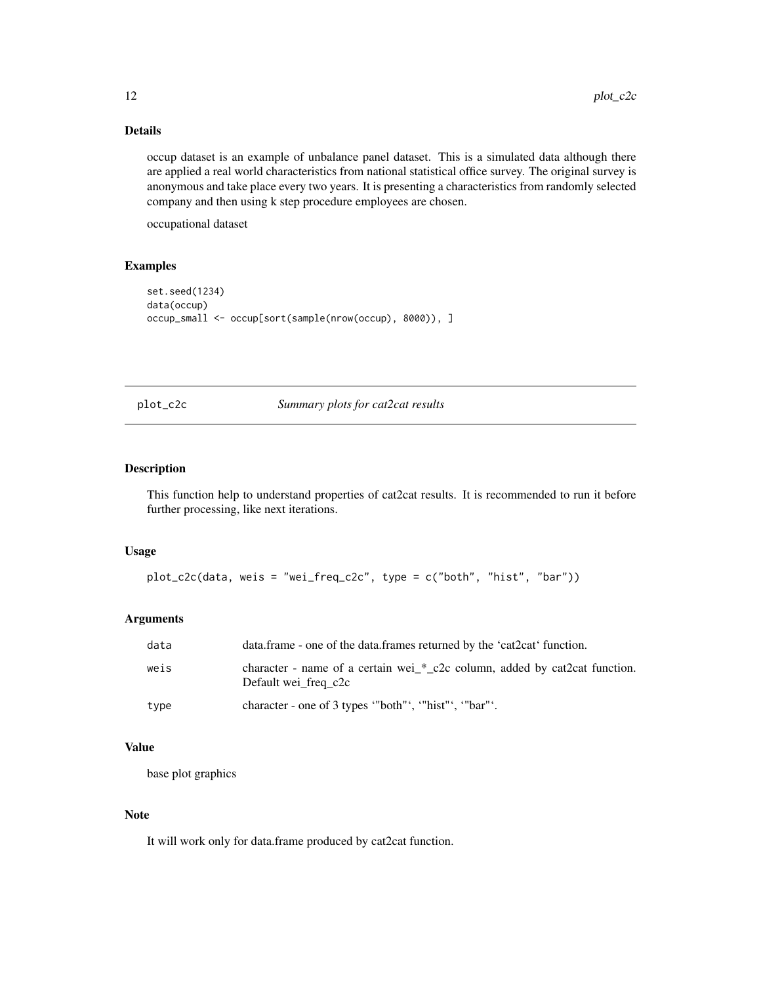#### Details

occup dataset is an example of unbalance panel dataset. This is a simulated data although there are applied a real world characteristics from national statistical office survey. The original survey is anonymous and take place every two years. It is presenting a characteristics from randomly selected company and then using k step procedure employees are chosen.

occupational dataset

#### Examples

```
set.seed(1234)
data(occup)
occup_small <- occup[sort(sample(nrow(occup), 8000)), ]
```
plot\_c2c *Summary plots for cat2cat results*

#### Description

This function help to understand properties of cat2cat results. It is recommended to run it before further processing, like next iterations.

#### Usage

```
plot_c2c(data, weis = "wei_freq_c2c", type = c("both", "hist", "bar"))
```
#### Arguments

| data | data.frame - one of the data.frames returned by the 'cat2cat' function.                            |
|------|----------------------------------------------------------------------------------------------------|
| weis | character - name of a certain wei_*_c2c column, added by cat2cat function.<br>Default wei freg c2c |
| type | character - one of 3 types "both", "hist", "bar"'.                                                 |

#### Value

base plot graphics

#### Note

It will work only for data.frame produced by cat2cat function.

<span id="page-11-0"></span>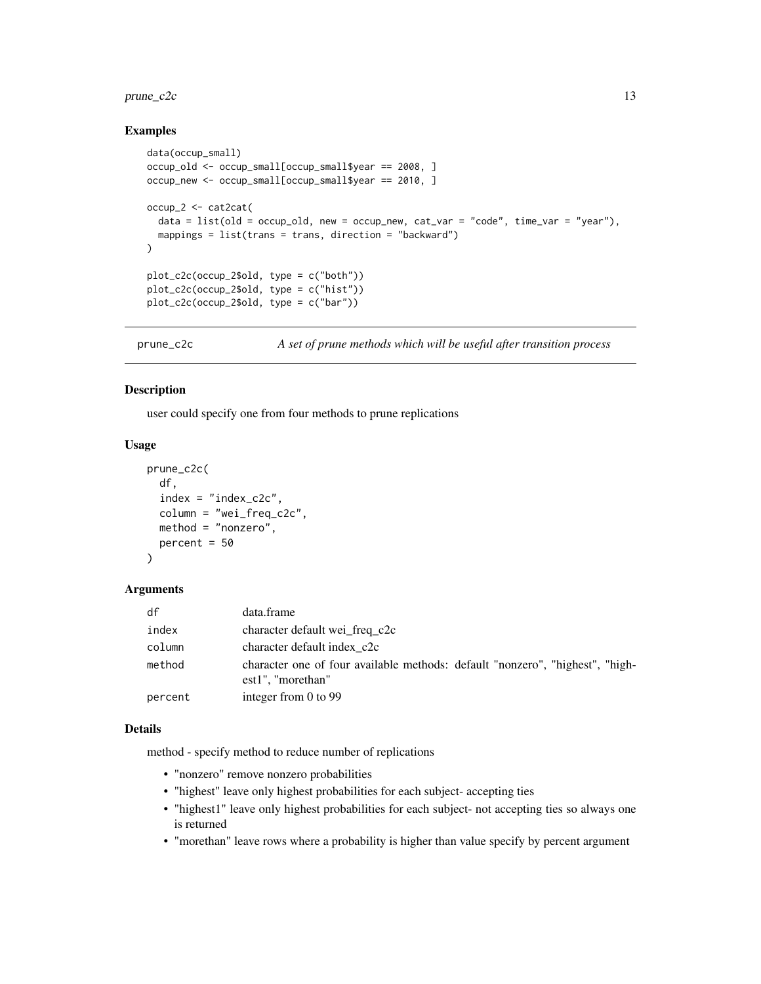#### <span id="page-12-0"></span> $prune\_c2c$  13

#### Examples

```
data(occup_small)
occup_old <- occup_small[occup_small$year == 2008, ]
occup_new <- occup_small[occup_small$year == 2010, ]
occup_2 <- cat2cat(
  data = list(old = occup_old, new = occup_new, cat_var = "code", time_var = "year"),
  mappings = list(trans = trans, direction = "backward")
)
plot_c2c(occup_2$old, type = c("both"))
plot_c2c(occup_2$old, type = c("hist"))
plot_c2c(occup_2$old, type = c("bar"))
```
prune\_c2c *A set of prune methods which will be useful after transition process*

#### Description

user could specify one from four methods to prune replications

#### Usage

```
prune_c2c(
  df,
  index = "index_c2c",
  column = "wei_freq_c2c",
 method = "nonzero",
 percent = 50
)
```
#### Arguments

| df      | data.frame                                                                                            |
|---------|-------------------------------------------------------------------------------------------------------|
| index   | character default wei_freq_c2c                                                                        |
| column  | character default index c2c                                                                           |
| method  | character one of four available methods: default "nonzero", "highest", "high-<br>$est1$ ", "morethan" |
| percent | integer from $0$ to 99                                                                                |

#### Details

method - specify method to reduce number of replications

- "nonzero" remove nonzero probabilities
- "highest" leave only highest probabilities for each subject- accepting ties
- "highest1" leave only highest probabilities for each subject- not accepting ties so always one is returned
- "morethan" leave rows where a probability is higher than value specify by percent argument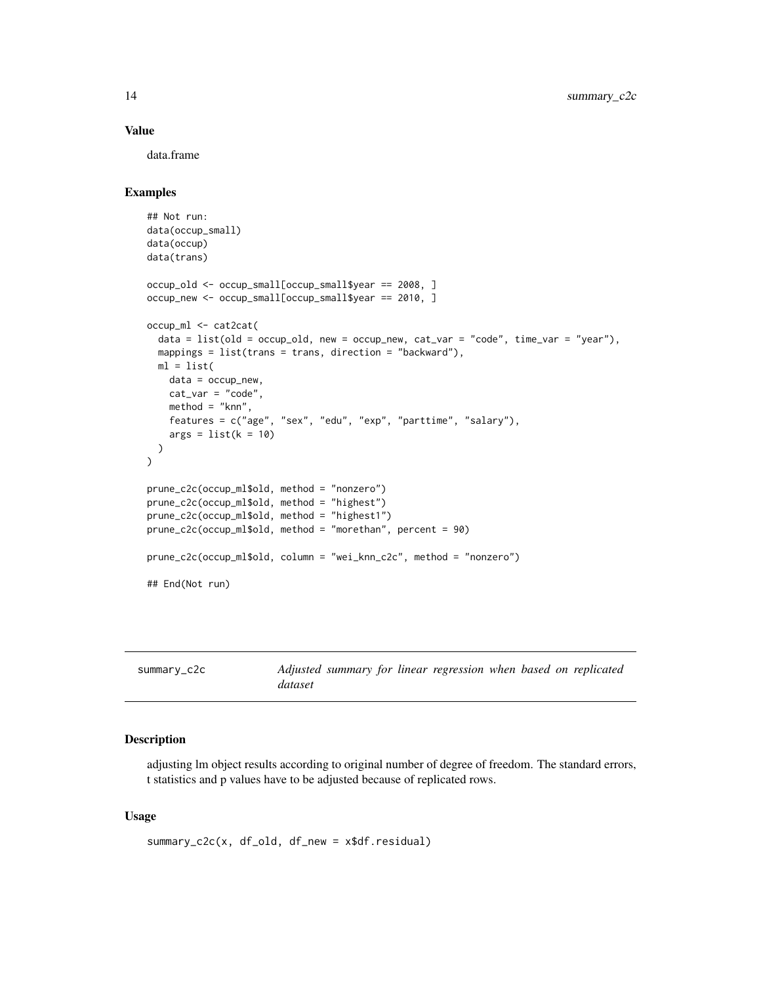#### Value

data.frame

#### Examples

```
## Not run:
data(occup_small)
data(occup)
data(trans)
occup_old <- occup_small[occup_small$year == 2008, ]
occup_new <- occup_small[occup_small$year == 2010, ]
occup_ml <- cat2cat(
  data = list(old = occup_old, new = occup_new, cat_var = "code", time_var = "year"),
  mappings = list(trans = trans, direction = "backward"),
  ml = list(data = occup_new,cat_var = "code",
   method = "knn",
   features = c("age", "sex", "edu", "exp", "parttime", "salary"),
   args = list(k = 10))
\mathcal{L}prune_c2c(occup_ml$old, method = "nonzero")
prune_c2c(occup_ml$old, method = "highest")
prune_c2c(occup_ml$old, method = "highest1")
prune_c2c(occup_ml$old, method = "morethan", percent = 90)
prune_c2c(occup_ml$old, column = "wei_knn_c2c", method = "nonzero")
## End(Not run)
```

| summary_c2c |         |  | Adjusted summary for linear regression when based on replicated |  |  |
|-------------|---------|--|-----------------------------------------------------------------|--|--|
|             | dataset |  |                                                                 |  |  |

#### Description

adjusting lm object results according to original number of degree of freedom. The standard errors, t statistics and p values have to be adjusted because of replicated rows.

#### Usage

```
summary_c2c(x, df_old, df_new = x$df.residual)
```
<span id="page-13-0"></span>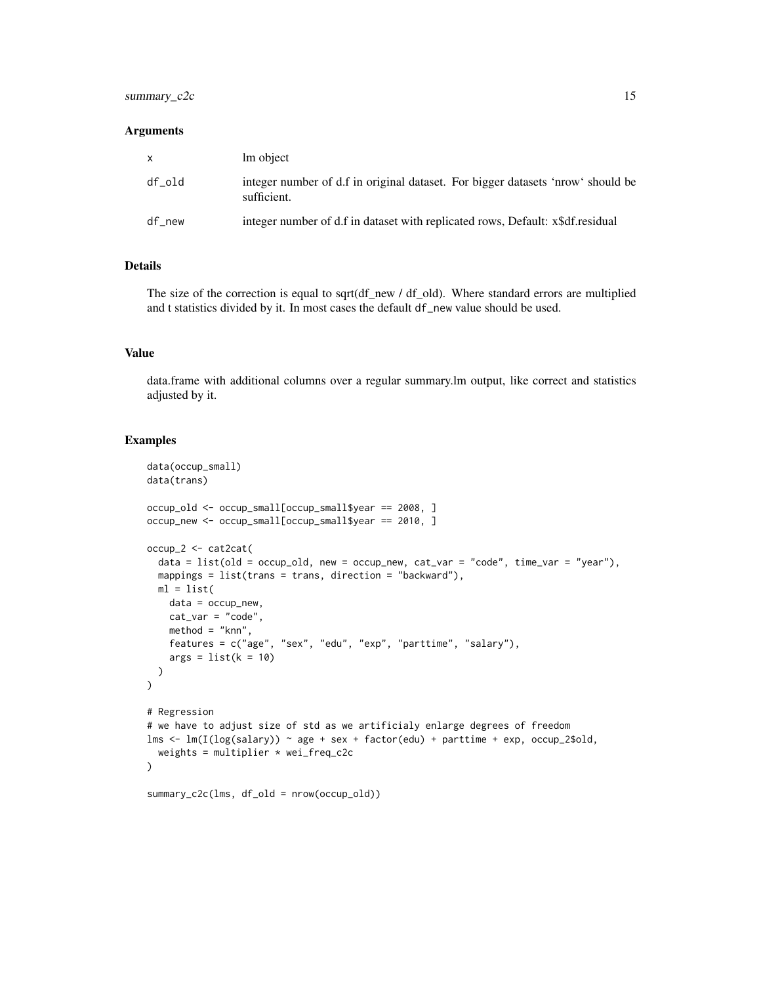#### summary\_c2c 15

#### **Arguments**

| X.     | lm object                                                                                      |
|--------|------------------------------------------------------------------------------------------------|
| df old | integer number of d.f in original dataset. For bigger datasets 'nrow' should be<br>sufficient. |
| df new | integer number of d.f in dataset with replicated rows, Default: x\$df.residual                 |

#### Details

The size of the correction is equal to sqrt(df\_new / df\_old). Where standard errors are multiplied and t statistics divided by it. In most cases the default df\_new value should be used.

#### Value

data.frame with additional columns over a regular summary.lm output, like correct and statistics adjusted by it.

```
data(occup_small)
data(trans)
occup_old <- occup_small[occup_small$year == 2008, ]
occup_new <- occup_small[occup_small$year == 2010, ]
occup_2 <- cat2cat(
  data = list(old = occup_old, new = occup_new, cat_var = "code", time_var = "year"),
  mappings = list(trans = trans, direction = "backward"),
  ml = list(data = occup_new,cat\_var = "code",method = "knn",
    features = c("age", "sex", "edu", "exp", "parttime", "salary"),
    args = list(k = 10))
\mathcal{L}# Regression
# we have to adjust size of std as we artificialy enlarge degrees of freedom
lms \leftarrow \text{lm}(I(\text{log}(salary)) \sim age + sex + factor(edu) + parttime + exp, occup_2$old,weights = multiplier * wei_freq_c2c
\mathcal{L}summary_c2c(lms, df_old = nrow(occup_old))
```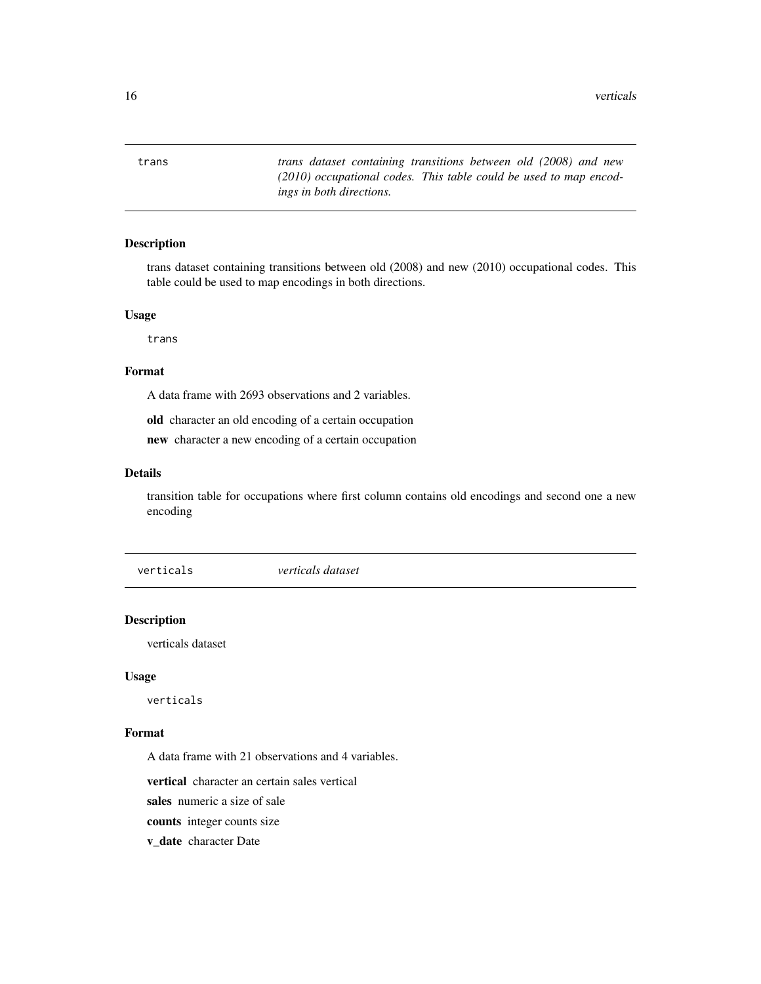<span id="page-15-0"></span>16 verticals and the contract of the contract of the contract of the contract of the contract of the contract of the contract of the contract of the contract of the contract of the contract of the contract of the contract

trans *trans dataset containing transitions between old (2008) and new (2010) occupational codes. This table could be used to map encodings in both directions.*

#### Description

trans dataset containing transitions between old (2008) and new (2010) occupational codes. This table could be used to map encodings in both directions.

#### Usage

trans

#### Format

A data frame with 2693 observations and 2 variables.

old character an old encoding of a certain occupation

new character a new encoding of a certain occupation

#### Details

transition table for occupations where first column contains old encodings and second one a new encoding

verticals *verticals dataset*

#### Description

verticals dataset

#### Usage

verticals

#### Format

A data frame with 21 observations and 4 variables.

vertical character an certain sales vertical

sales numeric a size of sale

counts integer counts size

v\_date character Date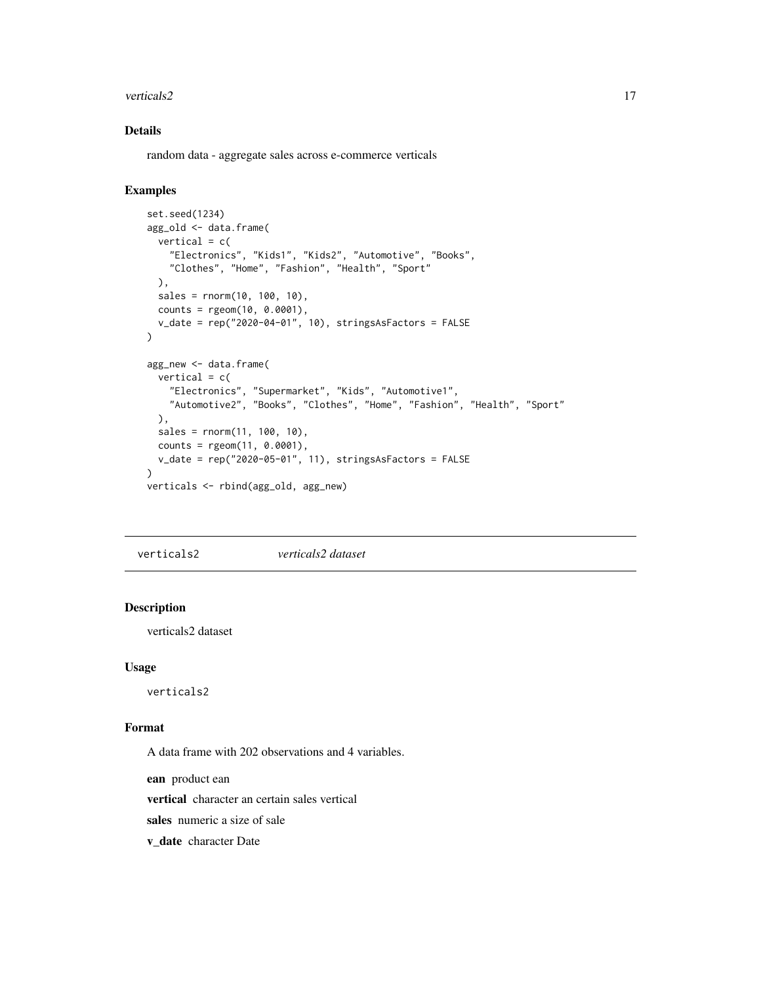#### <span id="page-16-0"></span>verticals 2 17

#### Details

random data - aggregate sales across e-commerce verticals

#### Examples

```
set.seed(1234)
agg_old <- data.frame(
  vertical = c("Electronics", "Kids1", "Kids2", "Automotive", "Books",
    "Clothes", "Home", "Fashion", "Health", "Sport"
 ),
  sales = rnorm(10, 100, 10),
  counts = rgeom(10, 0.0001),
  v_date = rep("2020-04-01", 10), stringsAsFactors = FALSE
\lambdaagg_new <- data.frame(
  vertical = c("Electronics", "Supermarket", "Kids", "Automotive1",
    "Automotive2", "Books", "Clothes", "Home", "Fashion", "Health", "Sport"
  ),
  sales = rnorm(11, 100, 10),counts = rgeom(11, 0.0001),v_date = rep("2020-05-01", 11), stringsAsFactors = FALSE
\mathcal{L}verticals <- rbind(agg_old, agg_new)
```
verticals2 *verticals2 dataset*

#### Description

verticals2 dataset

#### Usage

verticals2

#### Format

A data frame with 202 observations and 4 variables.

ean product ean

vertical character an certain sales vertical

sales numeric a size of sale

v\_date character Date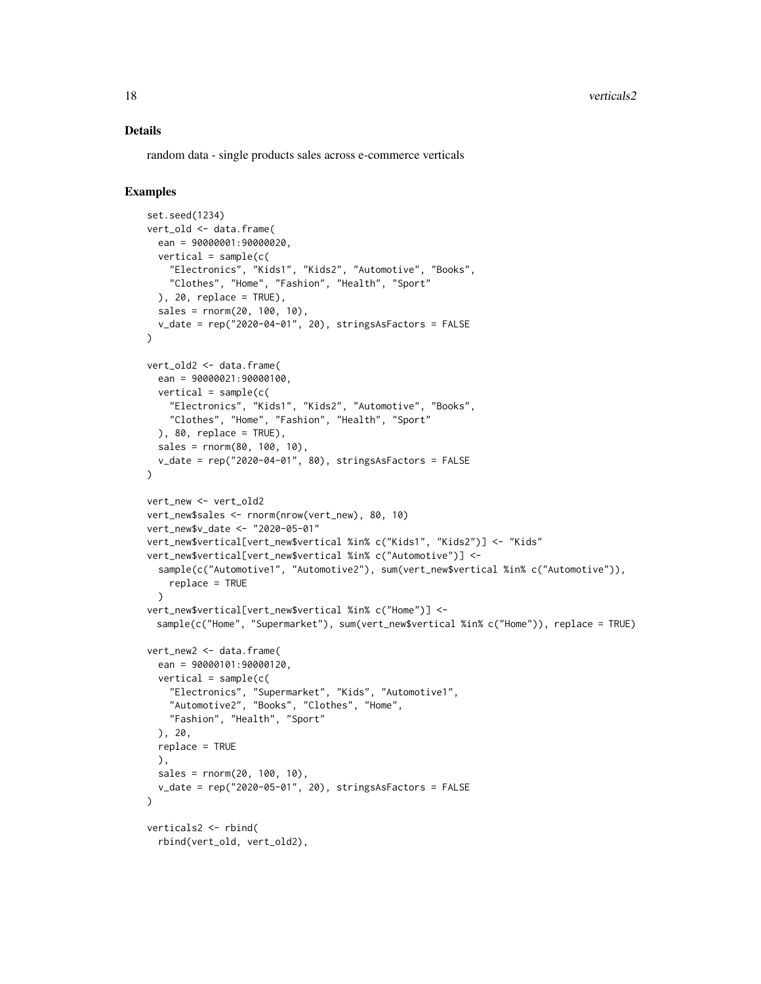#### Details

random data - single products sales across e-commerce verticals

```
set.seed(1234)
vert_old <- data.frame(
  ean = 90000001:90000020,
  vertical = sample(c)"Electronics", "Kids1", "Kids2", "Automotive", "Books",
    "Clothes", "Home", "Fashion", "Health", "Sport"
  ), 20, replace = TRUE),
  sales = rnorm(20, 100, 10),
  v_{\text{a}}date = rep("2020-04-01", 20), stringsAsFactors = FALSE
\lambdavert_old2 <- data.frame(
  ean = 90000021:90000100,
  vertical = sample(c()"Electronics", "Kids1", "Kids2", "Automotive", "Books",
    "Clothes", "Home", "Fashion", "Health", "Sport"
  ), 80, replace = TRUE),
  sales = rnorm(80, 100, 10),
  v_date = rep("2020-04-01", 80), stringsAsFactors = FALSE
)
vert_new <- vert_old2
vert_new$sales <- rnorm(nrow(vert_new), 80, 10)
vert_new$v_date <- "2020-05-01"
vert_new$vertical[vert_new$vertical %in% c("Kids1", "Kids2")] <- "Kids"
vert_new$vertical[vert_new$vertical %in% c("Automotive")] <-
  sample(c("Automotive1", "Automotive2"), sum(vert_new$vertical %in% c("Automotive")),
   replace = TRUE
  )
vert_new$vertical[vert_new$vertical %in% c("Home")] <-
 sample(c("Home", "Supermarket"), sum(vert_new$vertical %in% c("Home")), replace = TRUE)
vert_new2 <- data.frame(
  ean = 90000101:90000120,
  vertical = sample(c()"Electronics", "Supermarket", "Kids", "Automotive1",
    "Automotive2", "Books", "Clothes", "Home",
    "Fashion", "Health", "Sport"
  ), 20,
  replace = TRUE
  ),
  sales = rnorm(20, 100, 10),
  v_date = rep("2020-05-01", 20), stringsAsFactors = FALSE
)
verticals2 <- rbind(
  rbind(vert_old, vert_old2),
```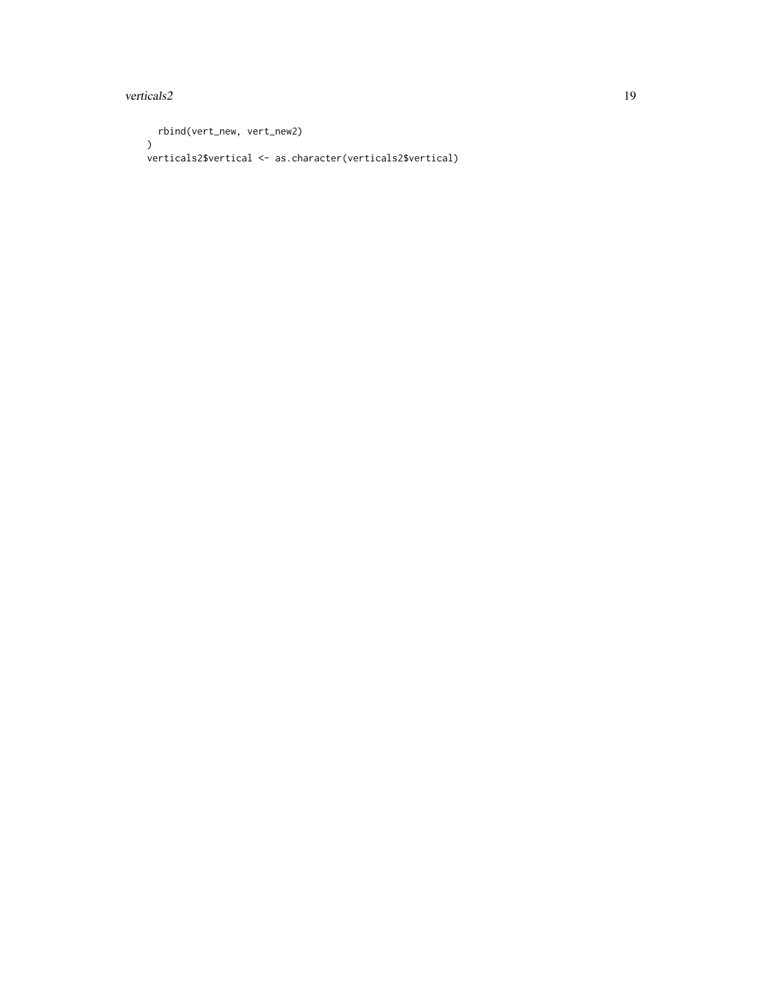#### verticals 2 and 19

```
rbind(vert_new, vert_new2)
\lambdaverticals2$vertical <- as.character(verticals2$vertical)
```